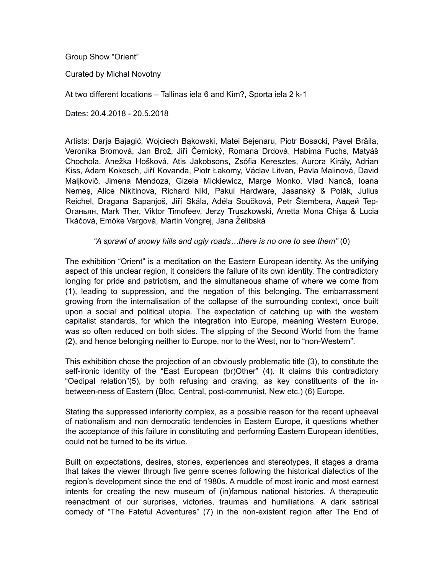Group Show "Orient"

Curated by Michal Novotny

At two different locations – Tallinas iela 6 and Kim?, Sporta iela 2 k-1

Dates: 20.4.2018 - 20.5.2018

Artists: Darja Bajagić, Wojciech Bąkowski, Matei Bejenaru, Piotr Bosacki, Pavel Brăila, Veronika Bromová, Jan Brož, Jiří Černický, Romana Drdová, Habima Fuchs, Matyáš Chochola, Anežka Hošková, Atis Jākobsons, Zsófia Keresztes, Aurora Király, Adrian Kiss, Adam Kokesch, Jiří Kovanda, Piotr Łakomy, Václav Litvan, Pavla Malinová, David Maljkovič, Jimena Mendoza, Gizela Mickiewicz, Marge Monko, Vlad Nancă, Ioana Nemeş, Alice Nikitinova, Richard Nikl, Pakui Hardware, Jasanský & Polák, Julius Reichel, Dragana Sapanjoš, Jiří Skála, Adéla Součková, Petr Štembera, Aвдeй Tep-Oгaньян, Mark Ther, Viktor Timofeev, Jerzy Truszkowski, Anetta Mona Chişa & Lucia Tkáčová, Emöke Vargová, Martin Vongrej, Jana Želibská

# *"A sprawl of snowy hills and ugly roads…there is no one to see them"* (0)

The exhibition "Orient" is a meditation on the Eastern European identity. As the unifying aspect of this unclear region, it considers the failure of its own identity. The contradictory longing for pride and patriotism, and the simultaneous shame of where we come from (1), leading to suppression, and the negation of this belonging. The embarrassment growing from the internalisation of the collapse of the surrounding context, once built upon a social and political utopia. The expectation of catching up with the western capitalist standards, for which the integration into Europe, meaning Western Europe, was so often reduced on both sides. The slipping of the Second World from the frame (2), and hence belonging neither to Europe, nor to the West, nor to "non-Western".

This exhibition chose the projection of an obviously problematic title (3), to constitute the self-ironic identity of the "East European (br)Other" (4). It claims this contradictory "Oedipal relation"(5), by both refusing and craving, as key constituents of the inbetween-ness of Eastern (Bloc, Central, post-communist, New etc.) (6) Europe.

Stating the suppressed inferiority complex, as a possible reason for the recent upheaval of nationalism and non democratic tendencies in Eastern Europe, it questions whether the acceptance of this failure in constituting and performing Eastern European identities, could not be turned to be its virtue.

Built on expectations, desires, stories, experiences and stereotypes, it stages a drama that takes the viewer through five genre scenes following the historical dialectics of the region's development since the end of 1980s. A muddle of most ironic and most earnest intents for creating the new museum of (in)famous national histories. A therapeutic reenactment of our surprises, victories, traumas and humiliations. A dark satirical comedy of "The Fateful Adventures" (7) in the non-existent region after The End of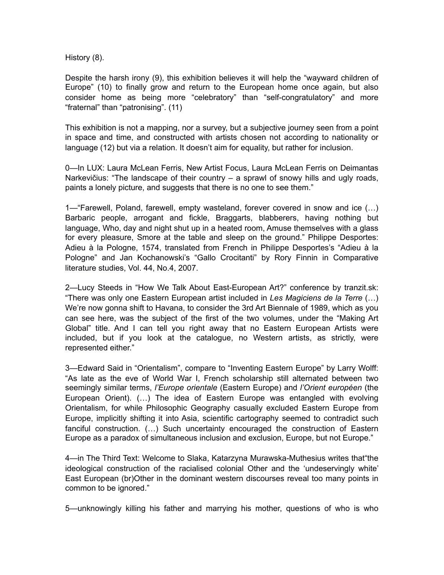History (8).

Despite the harsh irony (9), this exhibition believes it will help the "wayward children of Europe" (10) to finally grow and return to the European home once again, but also consider home as being more "celebratory" than "self-congratulatory" and more "fraternal" than "patronising". (11)

This exhibition is not a mapping, nor a survey, but a subjective journey seen from a point in space and time, and constructed with artists chosen not according to nationality or language (12) but via a relation. It doesn't aim for equality, but rather for inclusion.

0—In LUX: Laura McLean Ferris, New Artist Focus, Laura McLean Ferris on Deimantas Narkevičius: "The landscape of their country – a sprawl of snowy hills and ugly roads, paints a lonely picture, and suggests that there is no one to see them."

1—"Farewell, Poland, farewell, empty wasteland, forever covered in snow and ice (…) Barbaric people, arrogant and fickle, Braggarts, blabberers, having nothing but language, Who, day and night shut up in a heated room, Amuse themselves with a glass for every pleasure, Smore at the table and sleep on the ground." Philippe Desportes: Adieu à la Pologne, 1574, translated from French in Philippe Desportes's "Adieu à la Pologne" and Jan Kochanowski's "Gallo Crocitanti" by Rory Finnin in Comparative literature studies, Vol. 44, No.4, 2007.

2—Lucy Steeds in "How We Talk About East-European Art?" conference by tranzit.sk: "There was only one Eastern European artist included in *Les Magiciens de la Terre* (…) We're now gonna shift to Havana, to consider the 3rd Art Biennale of 1989, which as you can see here, was the subject of the first of the two volumes, under the "Making Art Global" title. And I can tell you right away that no Eastern European Artists were included, but if you look at the catalogue, no Western artists, as strictly, were represented either."

3—Edward Said in "Orientalism", compare to "Inventing Eastern Europe" by Larry Wolff: "As late as the eve of World War I, French scholarship still alternated between two seemingly similar terms, *l'Europe orientale* (Eastern Europe) and *l'Orient européen* (the European Orient). (…) The idea of Eastern Europe was entangled with evolving Orientalism, for while Philosophic Geography casually excluded Eastern Europe from Europe, implicitly shifting it into Asia, scientific cartography seemed to contradict such fanciful construction. (…) Such uncertainty encouraged the construction of Eastern Europe as a paradox of simultaneous inclusion and exclusion, Europe, but not Europe."

4—in The Third Text: Welcome to Slaka, Katarzyna Murawska-Muthesius writes that"the ideological construction of the racialised colonial Other and the 'undeservingly white' East European (br)Other in the dominant western discourses reveal too many points in common to be ignored."

5—unknowingly killing his father and marrying his mother, questions of who is who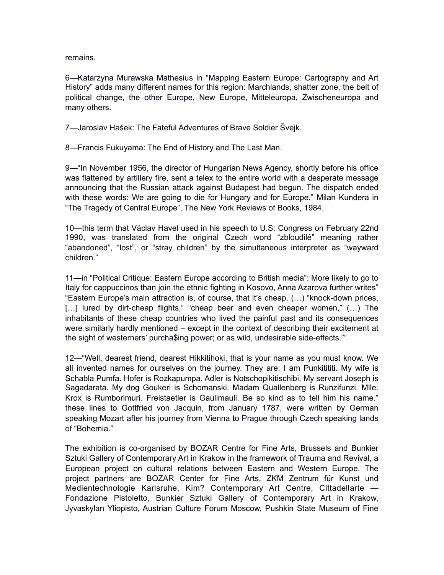remains.

6—Katarzyna Murawska Mathesius in "Mapping Eastern Europe: Cartography and Art History" adds many different names for this region: Marchlands, shatter zone, the belt of political change, the other Europe, New Europe, Mitteleuropa, Zwischeneuropa and many others.

7—Jaroslav Hašek: The Fateful Adventures of Brave Soldier Švejk.

8—Francis Fukuyama: The End of History and The Last Man.

9—"In November 1956, the director of Hungarian News Agency, shortly before his office was flattened by artillery fire, sent a telex to the entire world with a desperate message announcing that the Russian attack against Budapest had begun. The dispatch ended with these words: We are going to die for Hungary and for Europe." Milan Kundera in "The Tragedy of Central Europe", The New York Reviews of Books, 1984.

10—this term that Václav Havel used in his speech to U.S: Congress on February 22nd 1990, was translated from the original Czech word "zbloudilé" meaning rather "abandoned", "lost", or "stray children" by the simultaneous interpreter as "wayward children."

11—in "Political Critique: Eastern Europe according to British media": More likely to go to Italy for cappuccinos than join the ethnic fighting in Kosovo, Anna Azarova further writes" "Eastern Europe's main attraction is, of course, that it's cheap. (…) "knock-down prices, [...] lured by dirt-cheap flights," "cheap beer and even cheaper women," (...) The inhabitants of these cheap countries who lived the painful past and its consequences were similarly hardly mentioned – except in the context of describing their excitement at the sight of westerners' purcha\$ing power; or as wild, undesirable side-effects.""

12—"Well, dearest friend, dearest Hikkitihoki, that is your name as you must know. We all invented names for ourselves on the journey. They are: I am Punkitititi. My wife is Schabla Pumfa. Hofer is Rozkapumpa. Adler is Notschopikitischibi. My servant Joseph is Sagadarata. My dog Goukeri is Schomanski. Madam Quallenberg is Runzifunzi. Mlle. Krox is Rumborimuri. Freistaetler is Gaulimauli. Be so kind as to tell him his name." these lines to Gottfried von Jacquin, from January 1787, were written by German speaking Mozart after his journey from Vienna to Prague through Czech speaking lands of "Bohemia."

The exhibition is co-organised by BOZAR Centre for Fine Arts, Brussels and Bunkier Sztuki Gallery of Contemporary Art in Krakow in the framework of Trauma and Revival, a European project on cultural relations between Eastern and Western Europe. The project partners are BOZAR Center for Fine Arts, ZKM Zentrum für Kunst und Medientechnologie Karlsruhe, Kim? Contemporary Art Centre, Cittadellarte — Fondazione Pistoletto, Bunkier Sztuki Gallery of Contemporary Art in Krakow, Jyvaskylan Yliopisto, Austrian Culture Forum Moscow, Pushkin State Museum of Fine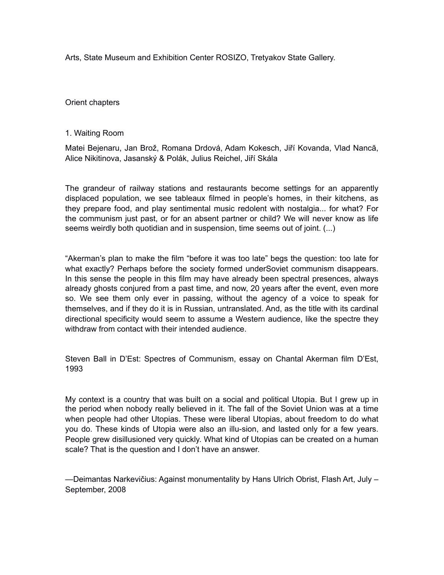Arts, State Museum and Exhibition Center ROSIZO, Tretyakov State Gallery.

Orient chapters

## 1. Waiting Room

Matei Bejenaru, Jan Brož, Romana Drdová, Adam Kokesch, Jiří Kovanda, Vlad Nancă, Alice Nikitinova, Jasanský & Polák, Julius Reichel, Jiří Skála

The grandeur of railway stations and restaurants become settings for an apparently displaced population, we see tableaux filmed in people's homes, in their kitchens, as they prepare food, and play sentimental music redolent with nostalgia... for what? For the communism just past, or for an absent partner or child? We will never know as life seems weirdly both quotidian and in suspension, time seems out of joint. (...)

"Akerman's plan to make the film "before it was too late" begs the question: too late for what exactly? Perhaps before the society formed underSoviet communism disappears. In this sense the people in this film may have already been spectral presences, always already ghosts conjured from a past time, and now, 20 years after the event, even more so. We see them only ever in passing, without the agency of a voice to speak for themselves, and if they do it is in Russian, untranslated. And, as the title with its cardinal directional specificity would seem to assume a Western audience, like the spectre they withdraw from contact with their intended audience

Steven Ball in D'Est: Spectres of Communism, essay on Chantal Akerman film D'Est, 1993

My context is a country that was built on a social and political Utopia. But I grew up in the period when nobody really believed in it. The fall of the Soviet Union was at a time when people had other Utopias. These were liberal Utopias, about freedom to do what you do. These kinds of Utopia were also an illu-sion, and lasted only for a few years. People grew disillusioned very quickly. What kind of Utopias can be created on a human scale? That is the question and I don't have an answer.

—Deimantas Narkevičius: Against monumentality by Hans Ulrich Obrist, Flash Art, July – September, 2008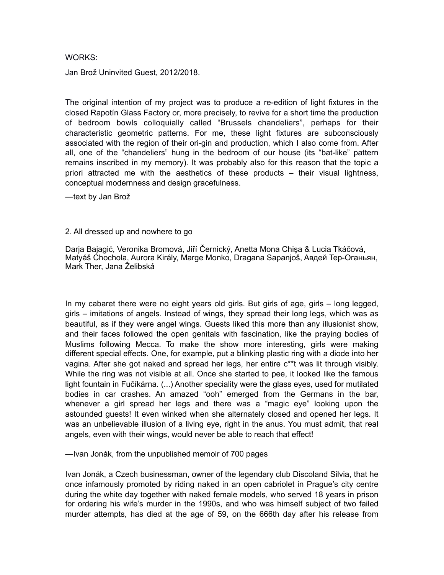### WORKS:

Jan Brož Uninvited Guest, 2012/2018.

The original intention of my project was to produce a re-edition of light fixtures in the closed Rapotín Glass Factory or, more precisely, to revive for a short time the production of bedroom bowls colloquially called "Brussels chandeliers", perhaps for their characteristic geometric patterns. For me, these light fixtures are subconsciously associated with the region of their ori-gin and production, which I also come from. After all, one of the "chandeliers" hung in the bedroom of our house (its "bat-like" pattern remains inscribed in my memory). It was probably also for this reason that the topic a priori attracted me with the aesthetics of these products – their visual lightness, conceptual modernness and design gracefulness.

—text by Jan Brož

## 2. All dressed up and nowhere to go

Darja Bajagić, Veronika Bromová, Jiří Černický, Anetta Mona Chişa & Lucia Tkáčová, Matyáš Chochola, Aurora Király, Marge Monko, Dragana Sapanjoš, Aвдeй Tep-Oгaньян, Mark Ther, Jana Želibská

In my cabaret there were no eight years old girls. But girls of age, girls – long legged, girls – imitations of angels. Instead of wings, they spread their long legs, which was as beautiful, as if they were angel wings. Guests liked this more than any illusionist show, and their faces followed the open genitals with fascination, like the praying bodies of Muslims following Mecca. To make the show more interesting, girls were making different special effects. One, for example, put a blinking plastic ring with a diode into her vagina. After she got naked and spread her legs, her entire c\*\*t was lit through visibly. While the ring was not visible at all. Once she started to pee, it looked like the famous light fountain in Fučíkárna. (...) Another speciality were the glass eyes, used for mutilated bodies in car crashes. An amazed "ooh" emerged from the Germans in the bar, whenever a girl spread her legs and there was a "magic eye" looking upon the astounded guests! It even winked when she alternately closed and opened her legs. It was an unbelievable illusion of a living eye, right in the anus. You must admit, that real angels, even with their wings, would never be able to reach that effect!

—Ivan Jonák, from the unpublished memoir of 700 pages

Ivan Jonák, a Czech businessman, owner of the legendary club Discoland Silvia, that he once infamously promoted by riding naked in an open cabriolet in Prague's city centre during the white day together with naked female models, who served 18 years in prison for ordering his wife's murder in the 1990s, and who was himself subject of two failed murder attempts, has died at the age of 59, on the 666th day after his release from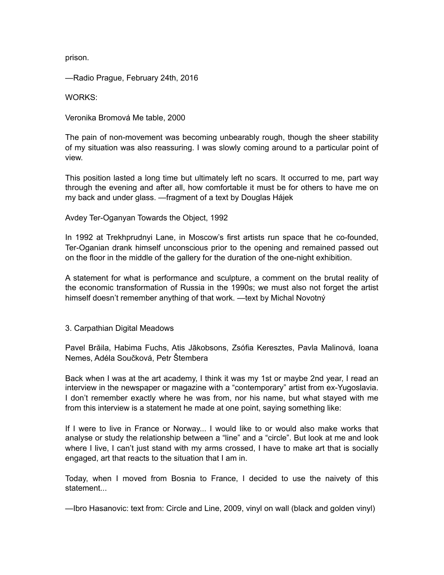prison.

—Radio Prague, February 24th, 2016

WORKS:

Veronika Bromová Me table, 2000

The pain of non-movement was becoming unbearably rough, though the sheer stability of my situation was also reassuring. I was slowly coming around to a particular point of view.

This position lasted a long time but ultimately left no scars. It occurred to me, part way through the evening and after all, how comfortable it must be for others to have me on my back and under glass. —fragment of a text by Douglas Hájek

Avdey Ter-Oganyan Towards the Object, 1992

In 1992 at Trekhprudnyi Lane, in Moscow's first artists run space that he co-founded, Ter-Oganian drank himself unconscious prior to the opening and remained passed out on the floor in the middle of the gallery for the duration of the one-night exhibition.

A statement for what is performance and sculpture, a comment on the brutal reality of the economic transformation of Russia in the 1990s; we must also not forget the artist himself doesn't remember anything of that work. —text by Michal Novotný

# 3. Carpathian Digital Meadows

Pavel Brăila, Habima Fuchs, Atis Jākobsons, Zsófia Keresztes, Pavla Malinová, Ioana Nemes, Adéla Součková, Petr Štembera

Back when I was at the art academy, I think it was my 1st or maybe 2nd year, I read an interview in the newspaper or magazine with a "contemporary" artist from ex-Yugoslavia. I don't remember exactly where he was from, nor his name, but what stayed with me from this interview is a statement he made at one point, saying something like:

If I were to live in France or Norway... I would like to or would also make works that analyse or study the relationship between a "line" and a "circle". But look at me and look where I live, I can't just stand with my arms crossed, I have to make art that is socially engaged, art that reacts to the situation that I am in.

Today, when I moved from Bosnia to France, I decided to use the naivety of this statement

—Ibro Hasanovic: text from: Circle and Line, 2009, vinyl on wall (black and golden vinyl)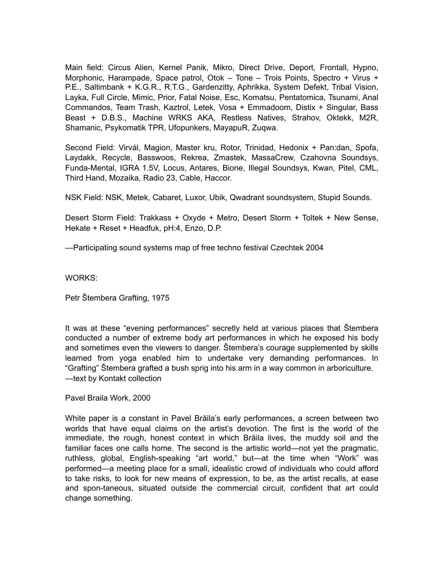Main field: Circus Alien, Kernel Panik, Mikro, Direct Drive, Deport, Frontall, Hypno, Morphonic, Harampade, Space patrol, Otok – Tone – Trois Points, Spectro + Virus + P.E., Saltimbank + K.G.R., R.T.G., Gardenzitty, Aphrikka, System Defekt, Tribal Vision, Layka, Full Circle, Mimic, Prior, Fatal Noise, Esc, Komatsu, Pentatomica, Tsunami, Anal Commandos, Team Trash, Kaztrol, Letek, Vosa + Emmadoom, Distix + Singular, Bass Beast + D.B.S., Machine WRKS AKA, Restless Natives, Strahov, Oktekk, M2R, Shamanic, Psykomatik TPR, Ufopunkers, MayapuR, Zuqwa.

Second Field: Virvál, Magion, Master kru, Rotor, Trinidad, Hedonix + Pan:dan, Spofa, Laydakk, Recycle, Basswoos, Rekrea, Zmastek, MassaCrew, Czahovna Soundsys, Funda-Mental, IGRA 1.5V, Locus, Antares, Bione, Illegal Soundsys, Kwan, Pitel, CML, Third Hand, Mozaika, Radio 23, Cable, Haccor.

NSK Field: NSK, Metek, Cabaret, Luxor, Ubik, Qwadrant soundsystem, Stupid Sounds.

Desert Storm Field: Trakkass + Oxyde + Metro, Desert Storm + Toltek + New Sense, Hekate + Reset + Headfuk, pH:4, Enzo, D.P.

—Participating sound systems map of free techno festival Czechtek 2004

WORKS:

Petr Štembera Grafting, 1975

It was at these "evening performances" secretly held at various places that Štembera conducted a number of extreme body art performances in which he exposed his body and sometimes even the viewers to danger. Štembera's courage supplemented by skills learned from yoga enabled him to undertake very demanding performances. In "Grafting" Štembera grafted a bush sprig into his arm in a way common in arboriculture. —text by Kontakt collection

Pavel Braila Work, 2000

White paper is a constant in Pavel Brăila's early performances, a screen between two worlds that have equal claims on the artist's devotion. The first is the world of the immediate, the rough, honest context in which Brăila lives, the muddy soil and the familiar faces one calls home. The second is the artistic world—not yet the pragmatic, ruthless, global, English-speaking "art world," but—at the time when "Work" was performed—a meeting place for a small, idealistic crowd of individuals who could afford to take risks, to look for new means of expression, to be, as the artist recalls, at ease and spon-taneous, situated outside the commercial circuit, confident that art could change something.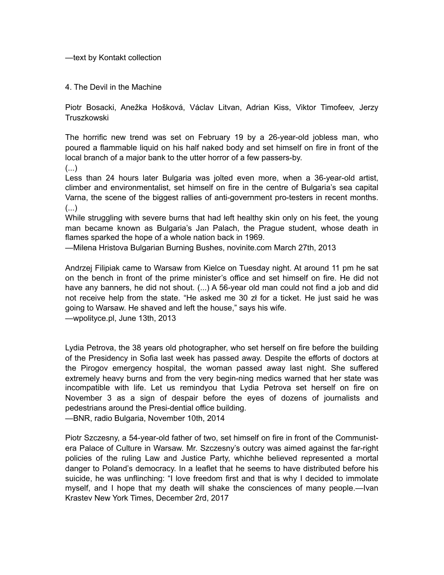—text by Kontakt collection

4. The Devil in the Machine

Piotr Bosacki, Anežka Hošková, Václav Litvan, Adrian Kiss, Viktor Timofeev, Jerzy **Truszkowski** 

The horrific new trend was set on February 19 by a 26-year-old jobless man, who poured a flammable liquid on his half naked body and set himself on fire in front of the local branch of a major bank to the utter horror of a few passers-by.

(...)

Less than 24 hours later Bulgaria was jolted even more, when a 36-year-old artist, climber and environmentalist, set himself on fire in the centre of Bulgaria's sea capital Varna, the scene of the biggest rallies of anti-government pro-testers in recent months. (...)

While struggling with severe burns that had left healthy skin only on his feet, the young man became known as Bulgaria's Jan Palach, the Prague student, whose death in flames sparked the hope of a whole nation back in 1969.

—Milena Hristova Bulgarian Burning Bushes, novinite.com March 27th, 2013

Andrzej Filipiak came to Warsaw from Kielce on Tuesday night. At around 11 pm he sat on the bench in front of the prime minister's office and set himself on fire. He did not have any banners, he did not shout. (...) A 56-year old man could not find a job and did not receive help from the state. "He asked me 30 zł for a ticket. He just said he was going to Warsaw. He shaved and left the house," says his wife.

—wpolityce.pl, June 13th, 2013

Lydia Petrova, the 38 years old photographer, who set herself on fire before the building of the Presidency in Sofia last week has passed away. Despite the efforts of doctors at the Pirogov emergency hospital, the woman passed away last night. She suffered extremely heavy burns and from the very begin-ning medics warned that her state was incompatible with life. Let us remindyou that Lydia Petrova set herself on fire on November 3 as a sign of despair before the eyes of dozens of journalists and pedestrians around the Presi-dential office building.

—BNR, radio Bulgaria, November 10th, 2014

Piotr Szczesny, a 54-year-old father of two, set himself on fire in front of the Communistera Palace of Culture in Warsaw. Mr. Szczesny's outcry was aimed against the far-right policies of the ruling Law and Justice Party, whichhe believed represented a mortal danger to Poland's democracy. In a leaflet that he seems to have distributed before his suicide, he was unflinching: "I love freedom first and that is why I decided to immolate myself, and I hope that my death will shake the consciences of many people.—Ivan Krastev New York Times, December 2rd, 2017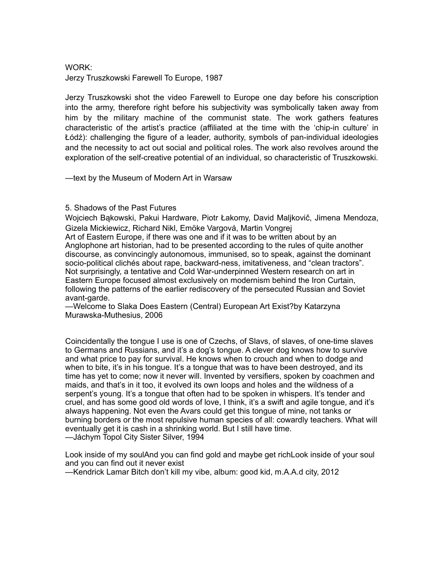# WORK:

Jerzy Truszkowski Farewell To Europe, 1987

Jerzy Truszkowski shot the video Farewell to Europe one day before his conscription into the army, therefore right before his subjectivity was symbolically taken away from him by the military machine of the communist state. The work gathers features characteristic of the artist's practice (affiliated at the time with the 'chip-in culture' in Łódź): challenging the figure of a leader, authority, symbols of pan-individual ideologies and the necessity to act out social and political roles. The work also revolves around the exploration of the self-creative potential of an individual, so characteristic of Truszkowski.

—text by the Museum of Modern Art in Warsaw

# 5. Shadows of the Past Futures

Wojciech Bąkowski, Pakui Hardware, Piotr Łakomy, David Maljkovič, Jimena Mendoza, Gizela Mickiewicz, Richard Nikl, Emöke Vargová, Martin Vongrej Art of Eastern Europe, if there was one and if it was to be written about by an

Anglophone art historian, had to be presented according to the rules of quite another discourse, as convincingly autonomous, immunised, so to speak, against the dominant socio-political clichés about rape, backward-ness, imitativeness, and "clean tractors". Not surprisingly, a tentative and Cold War-underpinned Western research on art in Eastern Europe focused almost exclusively on modernism behind the Iron Curtain, following the patterns of the earlier rediscovery of the persecuted Russian and Soviet avant-garde.

—Welcome to Slaka Does Eastern (Central) European Art Exist?by Katarzyna Murawska-Muthesius, 2006

Coincidentally the tongue I use is one of Czechs, of Slavs, of slaves, of one-time slaves to Germans and Russians, and it's a dog's tongue. A clever dog knows how to survive and what price to pay for survival. He knows when to crouch and when to dodge and when to bite, it's in his tongue. It's a tongue that was to have been destroyed, and its time has yet to come; now it never will. Invented by versifiers, spoken by coachmen and maids, and that's in it too, it evolved its own loops and holes and the wildness of a serpent's young. It's a tongue that often had to be spoken in whispers. It's tender and cruel, and has some good old words of love, I think, it's a swift and agile tongue, and it's always happening. Not even the Avars could get this tongue of mine, not tanks or burning borders or the most repulsive human species of all: cowardly teachers. What will eventually get it is cash in a shrinking world. But I still have time. —Jáchym Topol City Sister Silver, 1994

Look inside of my soulAnd you can find gold and maybe get richLook inside of your soul and you can find out it never exist

—Kendrick Lamar Bitch don't kill my vibe, album: good kid, m.A.A.d city, 2012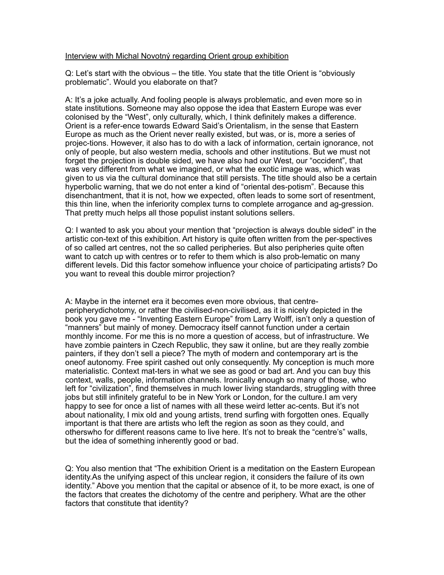### Interview with Michal Novotný regarding Orient group exhibition

Q: Let's start with the obvious – the title. You state that the title Orient is "obviously problematic". Would you elaborate on that?

A: It's a joke actually. And fooling people is always problematic, and even more so in state institutions. Someone may also oppose the idea that Eastern Europe was ever colonised by the "West", only culturally, which, I think definitely makes a difference. Orient is a refer-ence towards Edward Said's Orientalism, in the sense that Eastern Europe as much as the Orient never really existed, but was, or is, more a series of projec-tions. However, it also has to do with a lack of information, certain ignorance, not only of people, but also western media, schools and other institutions. But we must not forget the projection is double sided, we have also had our West, our "occident", that was very different from what we imagined, or what the exotic image was, which was given to us via the cultural dominance that still persists. The title should also be a certain hyperbolic warning, that we do not enter a kind of "oriental des-potism". Because this disenchantment, that it is not, how we expected, often leads to some sort of resentment, this thin line, when the inferiority complex turns to complete arrogance and ag-gression. That pretty much helps all those populist instant solutions sellers.

Q: I wanted to ask you about your mention that "projection is always double sided" in the artistic con-text of this exhibition. Art history is quite often written from the per-spectives of so called art centres, not the so called peripheries. But also peripheries quite often want to catch up with centres or to refer to them which is also prob-lematic on many different levels. Did this factor somehow influence your choice of participating artists? Do you want to reveal this double mirror projection?

A: Maybe in the internet era it becomes even more obvious, that centreperipherydichotomy, or rather the civilised-non-civilised, as it is nicely depicted in the book you gave me - "Inventing Eastern Europe" from Larry Wolff, isn't only a question of "manners" but mainly of money. Democracy itself cannot function under a certain monthly income. For me this is no more a question of access, but of infrastructure. We have zombie painters in Czech Republic, they saw it online, but are they really zombie painters, if they don't sell a piece? The myth of modern and contemporary art is the oneof autonomy. Free spirit cashed out only consequently. My conception is much more materialistic. Context mat-ters in what we see as good or bad art. And you can buy this context, walls, people, information channels. Ironically enough so many of those, who left for "civilization", find themselves in much lower living standards, struggling with three jobs but still infinitely grateful to be in New York or London, for the culture.I am very happy to see for once a list of names with all these weird letter ac-cents. But it's not about nationality, I mix old and young artists, trend surfing with forgotten ones. Equally important is that there are artists who left the region as soon as they could, and otherswho for different reasons came to live here. It's not to break the "centre's" walls, but the idea of something inherently good or bad.

Q: You also mention that "The exhibition Orient is a meditation on the Eastern European identity.As the unifying aspect of this unclear region, it considers the failure of its own identity." Above you mention that the capital or absence of it, to be more exact, is one of the factors that creates the dichotomy of the centre and periphery. What are the other factors that constitute that identity?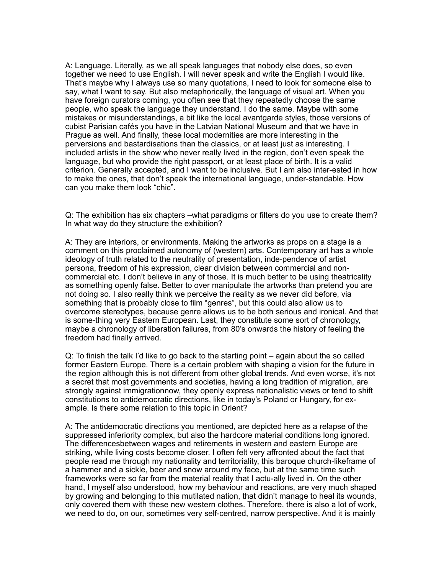A: Language. Literally, as we all speak languages that nobody else does, so even together we need to use English. I will never speak and write the English I would like. That's maybe why I always use so many quotations, I need to look for someone else to say, what I want to say. But also metaphorically, the language of visual art. When you have foreign curators coming, you often see that they repeatedly choose the same people, who speak the language they understand. I do the same. Maybe with some mistakes or misunderstandings, a bit like the local avantgarde styles, those versions of cubist Parisian cafés you have in the Latvian National Museum and that we have in Prague as well. And finally, these local modernities are more interesting in the perversions and bastardisations than the classics, or at least just as interesting. I included artists in the show who never really lived in the region, don't even speak the language, but who provide the right passport, or at least place of birth. It is a valid criterion. Generally accepted, and I want to be inclusive. But I am also inter-ested in how to make the ones, that don't speak the international language, under-standable. How can you make them look "chic".

Q: The exhibition has six chapters –what paradigms or filters do you use to create them? In what way do they structure the exhibition?

A: They are interiors, or environments. Making the artworks as props on a stage is a comment on this proclaimed autonomy of (western) arts. Contemporary art has a whole ideology of truth related to the neutrality of presentation, inde-pendence of artist persona, freedom of his expression, clear division between commercial and noncommercial etc. I don't believe in any of those. It is much better to be using theatricality as something openly false. Better to over manipulate the artworks than pretend you are not doing so. I also really think we perceive the reality as we never did before, via something that is probably close to film "genres", but this could also allow us to overcome stereotypes, because genre allows us to be both serious and ironical. And that is some-thing very Eastern European. Last, they constitute some sort of chronology, maybe a chronology of liberation failures, from 80's onwards the history of feeling the freedom had finally arrived.

Q: To finish the talk I'd like to go back to the starting point – again about the so called former Eastern Europe. There is a certain problem with shaping a vision for the future in the region although this is not different from other global trends. And even worse, it's not a secret that most governments and societies, having a long tradition of migration, are strongly against immigrationnow, they openly express nationalistic views or tend to shift constitutions to antidemocratic directions, like in today's Poland or Hungary, for example. Is there some relation to this topic in Orient?

A: The antidemocratic directions you mentioned, are depicted here as a relapse of the suppressed inferiority complex, but also the hardcore material conditions long ignored. The differencesbetween wages and retirements in western and eastern Europe are striking, while living costs become closer. I often felt very affronted about the fact that people read me through my nationality and territoriality, this baroque church-likeframe of a hammer and a sickle, beer and snow around my face, but at the same time such frameworks were so far from the material reality that I actu-ally lived in. On the other hand, I myself also understood, how my behaviour and reactions, are very much shaped by growing and belonging to this mutilated nation, that didn't manage to heal its wounds, only covered them with these new western clothes. Therefore, there is also a lot of work, we need to do, on our, sometimes very self-centred, narrow perspective. And it is mainly